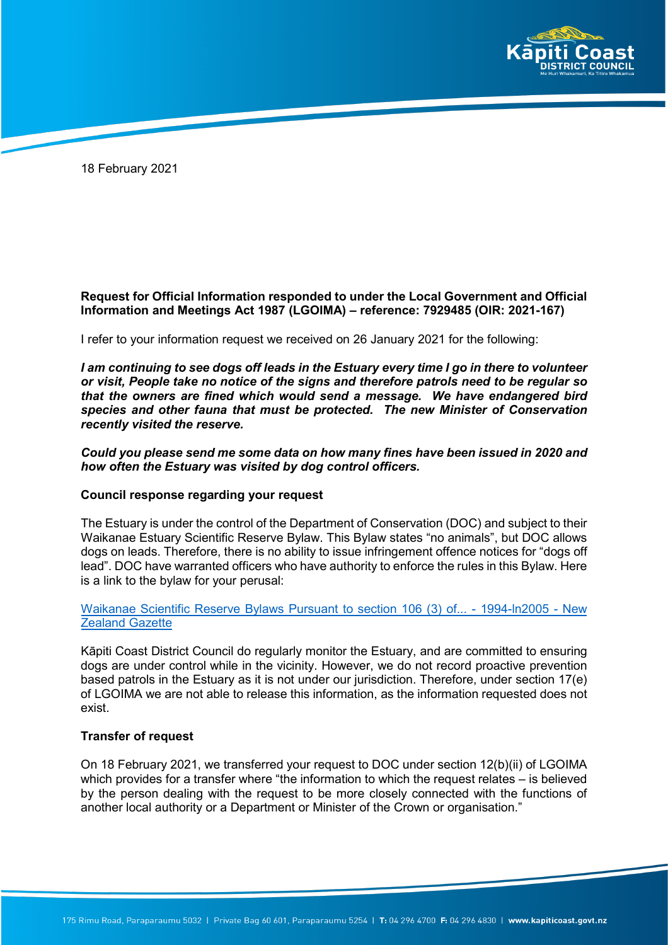

18 February 2021

# **Request for Official Information responded to under the Local Government and Official Information and Meetings Act 1987 (LGOIMA) – reference: 7929485 (OIR: 2021-167)**

I refer to your information request we received on 26 January 2021 for the following:

*I am continuing to see dogs off leads in the Estuary every time I go in there to volunteer or visit, People take no notice of the signs and therefore patrols need to be regular so that the owners are fined which would send a message. We have endangered bird species and other fauna that must be protected. The new Minister of Conservation recently visited the reserve.* 

### *Could you please send me some data on how many fines have been issued in 2020 and how often the Estuary was visited by dog control officers.*

#### **Council response regarding your request**

The Estuary is under the control of the Department of Conservation (DOC) and subject to their Waikanae Estuary Scientific Reserve Bylaw. This Bylaw states "no animals", but DOC allows dogs on leads. Therefore, there is no ability to issue infringement offence notices for "dogs off lead". DOC have warranted officers who have authority to enforce the rules in this Bylaw. Here is a link to the bylaw for your perusal:

### Waikanae Scientific Reserve Bylaws Pursuant to section 106 (3) of... [- 1994-ln2005 - New](https://gazette.govt.nz/notice/id/1994-ln2005) **[Zealand Gazette](https://gazette.govt.nz/notice/id/1994-ln2005)**

Kāpiti Coast District Council do regularly monitor the Estuary, and are committed to ensuring dogs are under control while in the vicinity. However, we do not record proactive prevention based patrols in the Estuary as it is not under our jurisdiction. Therefore, under section 17(e) of LGOIMA we are not able to release this information, as the information requested does not exist.

# **Transfer of request**

On 18 February 2021, we transferred your request to DOC under section 12(b)(ii) of LGOIMA which provides for a transfer where "the information to which the request relates – is believed by the person dealing with the request to be more closely connected with the functions of another local authority or a Department or Minister of the Crown or organisation."